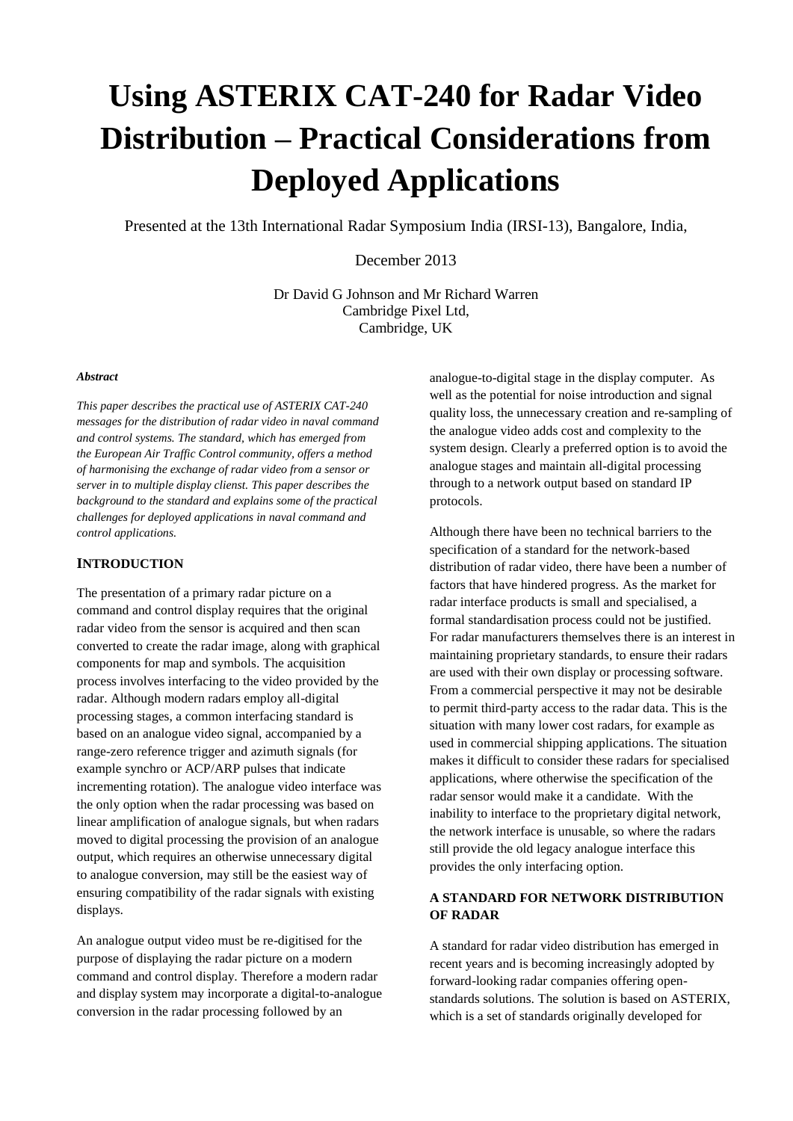# **Using ASTERIX CAT-240 for Radar Video Distribution – Practical Considerations from Deployed Applications**

Presented at the 13th International Radar Symposium India (IRSI-13), Bangalore, India,

December 2013

Dr David G Johnson and Mr Richard Warren Cambridge Pixel Ltd, Cambridge, UK

#### *Abstract*

*This paper describes the practical use of ASTERIX CAT-240 messages for the distribution of radar video in naval command and control systems. The standard, which has emerged from the European Air Traffic Control community, offers a method of harmonising the exchange of radar video from a sensor or server in to multiple display clienst. This paper describes the background to the standard and explains some of the practical challenges for deployed applications in naval command and control applications.*

#### **INTRODUCTION**

The presentation of a primary radar picture on a command and control display requires that the original radar video from the sensor is acquired and then scan converted to create the radar image, along with graphical components for map and symbols. The acquisition process involves interfacing to the video provided by the radar. Although modern radars employ all-digital processing stages, a common interfacing standard is based on an analogue video signal, accompanied by a range-zero reference trigger and azimuth signals (for example synchro or ACP/ARP pulses that indicate incrementing rotation). The analogue video interface was the only option when the radar processing was based on linear amplification of analogue signals, but when radars moved to digital processing the provision of an analogue output, which requires an otherwise unnecessary digital to analogue conversion, may still be the easiest way of ensuring compatibility of the radar signals with existing displays.

An analogue output video must be re-digitised for the purpose of displaying the radar picture on a modern command and control display. Therefore a modern radar and display system may incorporate a digital-to-analogue conversion in the radar processing followed by an

analogue-to-digital stage in the display computer. As well as the potential for noise introduction and signal quality loss, the unnecessary creation and re-sampling of the analogue video adds cost and complexity to the system design. Clearly a preferred option is to avoid the analogue stages and maintain all-digital processing through to a network output based on standard IP protocols.

Although there have been no technical barriers to the specification of a standard for the network-based distribution of radar video, there have been a number of factors that have hindered progress. As the market for radar interface products is small and specialised, a formal standardisation process could not be justified. For radar manufacturers themselves there is an interest in maintaining proprietary standards, to ensure their radars are used with their own display or processing software. From a commercial perspective it may not be desirable to permit third-party access to the radar data. This is the situation with many lower cost radars, for example as used in commercial shipping applications. The situation makes it difficult to consider these radars for specialised applications, where otherwise the specification of the radar sensor would make it a candidate. With the inability to interface to the proprietary digital network, the network interface is unusable, so where the radars still provide the old legacy analogue interface this provides the only interfacing option.

## **A STANDARD FOR NETWORK DISTRIBUTION OF RADAR**

A standard for radar video distribution has emerged in recent years and is becoming increasingly adopted by forward-looking radar companies offering openstandards solutions. The solution is based on ASTERIX, which is a set of standards originally developed for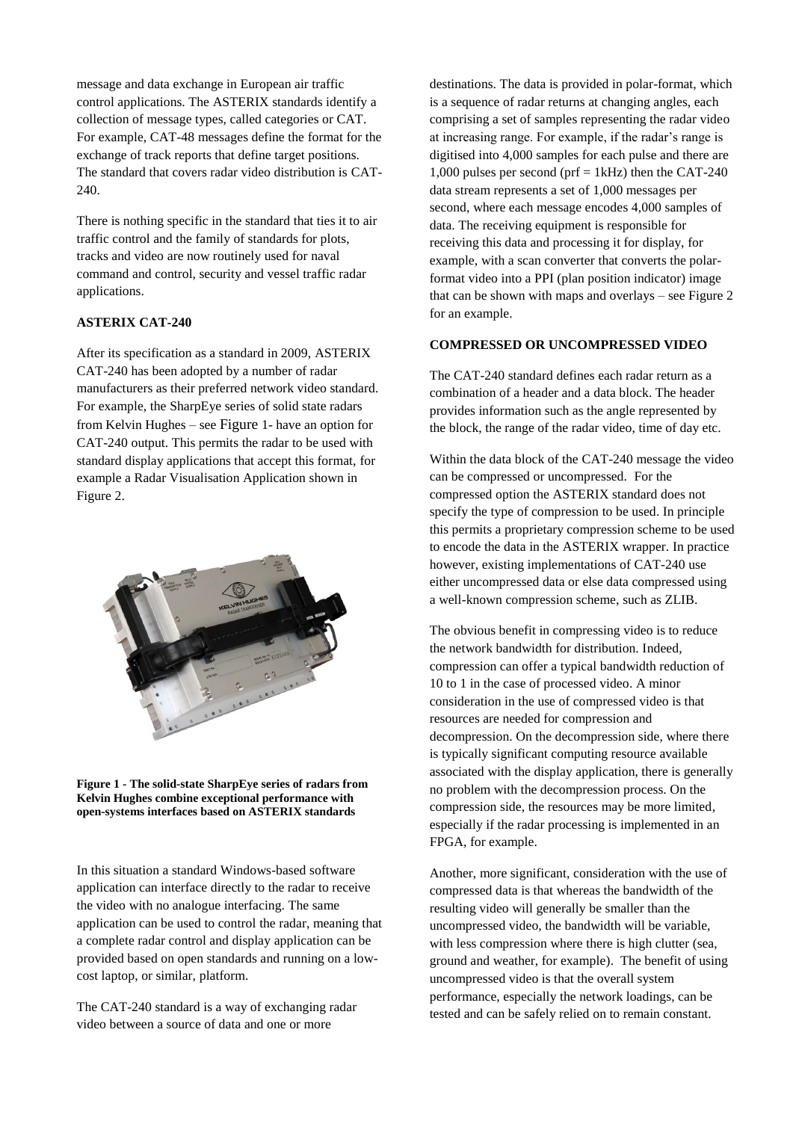message and data exchange in European air traffic control applications. The ASTERIX standards identify a collection of message types, called categories or CAT. For example, CAT-48 messages define the format for the exchange of track reports that define target positions. The standard that covers radar video distribution is CAT-240.

There is nothing specific in the standard that ties it to air traffic control and the family of standards for plots, tracks and video are now routinely used for naval command and control, security and vessel traffic radar applications.

#### **ASTERIX CAT-240**

After its specification as a standard in 2009, ASTERIX CAT-240 has been adopted by a number of radar manufacturers as their preferred network video standard. For example, the SharpEye series of solid state radars from Kelvin Hughes – see [Figure](#page-1-0) 1- have an option for CAT-240 output. This permits the radar to be used with standard display applications that accept this format, for example a Radar Visualisation Application shown in [Figure 2.](#page-4-0)



**Figure 1 - The solid-state SharpEye series of radars from Kelvin Hughes combine exceptional performance with open-systems interfaces based on ASTERIX standards**

<span id="page-1-0"></span>In this situation a standard Windows-based software application can interface directly to the radar to receive the video with no analogue interfacing. The same application can be used to control the radar, meaning that a complete radar control and display application can be provided based on open standards and running on a lowcost laptop, or similar, platform.

The CAT-240 standard is a way of exchanging radar video between a source of data and one or more

destinations. The data is provided in polar-format, which is a sequence of radar returns at changing angles, each comprising a set of samples representing the radar video at increasing range. For example, if the radar's range is digitised into 4,000 samples for each pulse and there are 1,000 pulses per second (prf = 1kHz) then the CAT-240 data stream represents a set of 1,000 messages per second, where each message encodes 4,000 samples of data. The receiving equipment is responsible for receiving this data and processing it for display, for example, with a scan converter that converts the polarformat video into a PPI (plan position indicator) image that can be shown with maps and overlays – see [Figure 2](#page-4-0) for an example.

#### **COMPRESSED OR UNCOMPRESSED VIDEO**

The CAT-240 standard defines each radar return as a combination of a header and a data block. The header provides information such as the angle represented by the block, the range of the radar video, time of day etc.

Within the data block of the CAT-240 message the video can be compressed or uncompressed. For the compressed option the ASTERIX standard does not specify the type of compression to be used. In principle this permits a proprietary compression scheme to be used to encode the data in the ASTERIX wrapper. In practice however, existing implementations of CAT-240 use either uncompressed data or else data compressed using a well-known compression scheme, such as ZLIB.

The obvious benefit in compressing video is to reduce the network bandwidth for distribution. Indeed, compression can offer a typical bandwidth reduction of 10 to 1 in the case of processed video. A minor consideration in the use of compressed video is that resources are needed for compression and decompression. On the decompression side, where there is typically significant computing resource available associated with the display application, there is generally no problem with the decompression process. On the compression side, the resources may be more limited, especially if the radar processing is implemented in an FPGA, for example.

Another, more significant, consideration with the use of compressed data is that whereas the bandwidth of the resulting video will generally be smaller than the uncompressed video, the bandwidth will be variable, with less compression where there is high clutter (sea, ground and weather, for example). The benefit of using uncompressed video is that the overall system performance, especially the network loadings, can be tested and can be safely relied on to remain constant.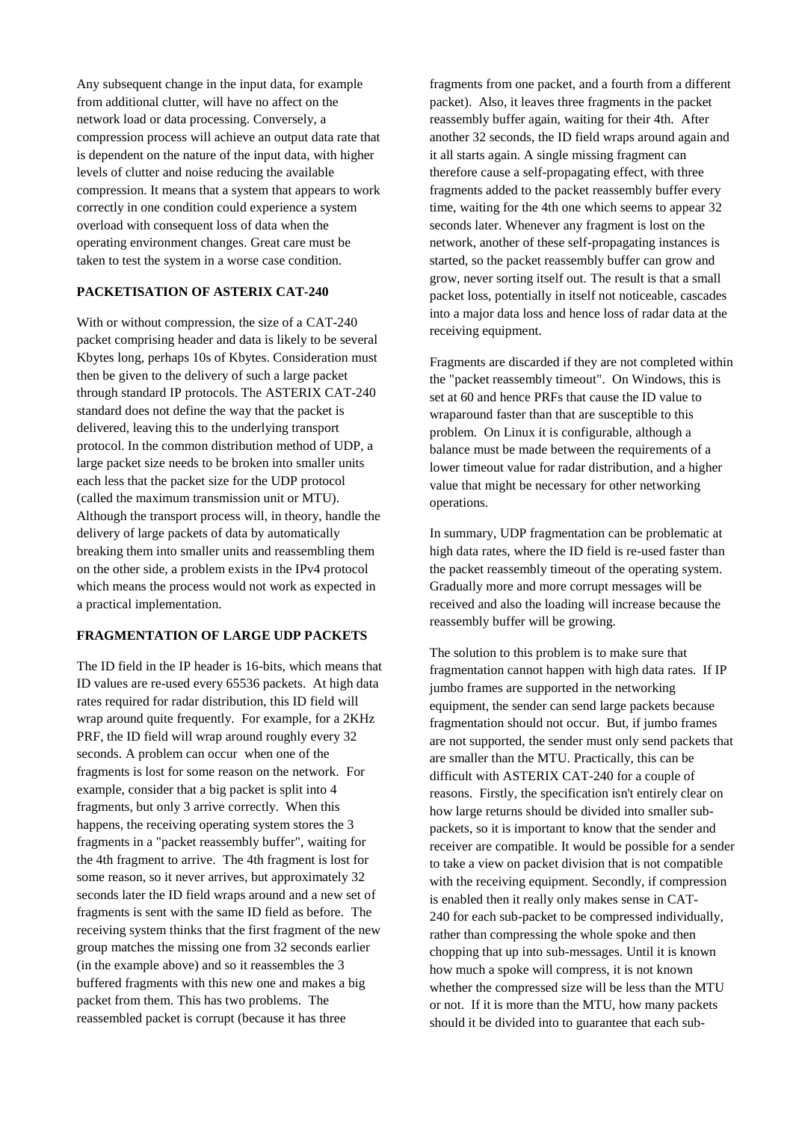Any subsequent change in the input data, for example from additional clutter, will have no affect on the network load or data processing. Conversely, a compression process will achieve an output data rate that is dependent on the nature of the input data, with higher levels of clutter and noise reducing the available compression. It means that a system that appears to work correctly in one condition could experience a system overload with consequent loss of data when the operating environment changes. Great care must be taken to test the system in a worse case condition.

#### **PACKETISATION OF ASTERIX CAT-240**

With or without compression, the size of a CAT-240 packet comprising header and data is likely to be several Kbytes long, perhaps 10s of Kbytes. Consideration must then be given to the delivery of such a large packet through standard IP protocols. The ASTERIX CAT-240 standard does not define the way that the packet is delivered, leaving this to the underlying transport protocol. In the common distribution method of UDP, a large packet size needs to be broken into smaller units each less that the packet size for the UDP protocol (called the maximum transmission unit or MTU). Although the transport process will, in theory, handle the delivery of large packets of data by automatically breaking them into smaller units and reassembling them on the other side, a problem exists in the IPv4 protocol which means the process would not work as expected in a practical implementation.

### **FRAGMENTATION OF LARGE UDP PACKETS**

The ID field in the IP header is 16-bits, which means that ID values are re-used every 65536 packets. At high data rates required for radar distribution, this ID field will wrap around quite frequently. For example, for a 2KHz PRF, the ID field will wrap around roughly every 32 seconds. A problem can occur when one of the fragments is lost for some reason on the network. For example, consider that a big packet is split into 4 fragments, but only 3 arrive correctly. When this happens, the receiving operating system stores the 3 fragments in a "packet reassembly buffer", waiting for the 4th fragment to arrive. The 4th fragment is lost for some reason, so it never arrives, but approximately 32 seconds later the ID field wraps around and a new set of fragments is sent with the same ID field as before. The receiving system thinks that the first fragment of the new group matches the missing one from 32 seconds earlier (in the example above) and so it reassembles the 3 buffered fragments with this new one and makes a big packet from them. This has two problems. The reassembled packet is corrupt (because it has three

fragments from one packet, and a fourth from a different packet). Also, it leaves three fragments in the packet reassembly buffer again, waiting for their 4th. After another 32 seconds, the ID field wraps around again and it all starts again. A single missing fragment can therefore cause a self-propagating effect, with three fragments added to the packet reassembly buffer every time, waiting for the 4th one which seems to appear 32 seconds later. Whenever any fragment is lost on the network, another of these self-propagating instances is started, so the packet reassembly buffer can grow and grow, never sorting itself out. The result is that a small packet loss, potentially in itself not noticeable, cascades into a major data loss and hence loss of radar data at the receiving equipment.

Fragments are discarded if they are not completed within the "packet reassembly timeout". On Windows, this is set at 60 and hence PRFs that cause the ID value to wraparound faster than that are susceptible to this problem. On Linux it is configurable, although a balance must be made between the requirements of a lower timeout value for radar distribution, and a higher value that might be necessary for other networking operations.

In summary, UDP fragmentation can be problematic at high data rates, where the ID field is re-used faster than the packet reassembly timeout of the operating system. Gradually more and more corrupt messages will be received and also the loading will increase because the reassembly buffer will be growing.

The solution to this problem is to make sure that fragmentation cannot happen with high data rates. If IP jumbo frames are supported in the networking equipment, the sender can send large packets because fragmentation should not occur. But, if jumbo frames are not supported, the sender must only send packets that are smaller than the MTU. Practically, this can be difficult with ASTERIX CAT-240 for a couple of reasons. Firstly, the specification isn't entirely clear on how large returns should be divided into smaller subpackets, so it is important to know that the sender and receiver are compatible. It would be possible for a sender to take a view on packet division that is not compatible with the receiving equipment. Secondly, if compression is enabled then it really only makes sense in CAT-240 for each sub-packet to be compressed individually, rather than compressing the whole spoke and then chopping that up into sub-messages. Until it is known how much a spoke will compress, it is not known whether the compressed size will be less than the MTU or not. If it is more than the MTU, how many packets should it be divided into to guarantee that each sub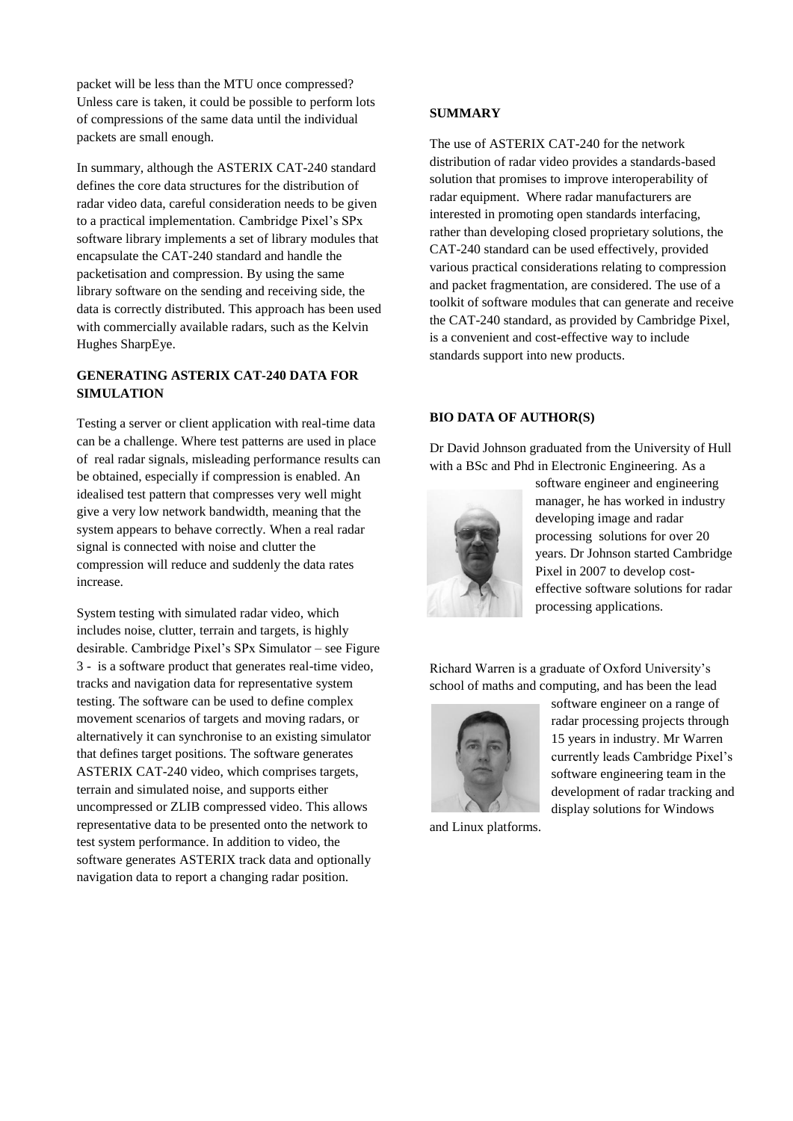packet will be less than the MTU once compressed? Unless care is taken, it could be possible to perform lots of compressions of the same data until the individual packets are small enough.

In summary, although the ASTERIX CAT-240 standard defines the core data structures for the distribution of radar video data, careful consideration needs to be given to a practical implementation. Cambridge Pixel's SPx software library implements a set of library modules that encapsulate the CAT-240 standard and handle the packetisation and compression. By using the same library software on the sending and receiving side, the data is correctly distributed. This approach has been used with commercially available radars, such as the Kelvin Hughes SharpEye.

## **GENERATING ASTERIX CAT-240 DATA FOR SIMULATION**

Testing a server or client application with real-time data can be a challenge. Where test patterns are used in place of real radar signals, misleading performance results can be obtained, especially if compression is enabled. An idealised test pattern that compresses very well might give a very low network bandwidth, meaning that the system appears to behave correctly. When a real radar signal is connected with noise and clutter the compression will reduce and suddenly the data rates increase.

System testing with simulated radar video, which includes noise, clutter, terrain and targets, is highly desirable. Cambridge Pixel's SPx Simulator – see [Figure](#page-4-1)  [3](#page-4-1) - is a software product that generates real-time video, tracks and navigation data for representative system testing. The software can be used to define complex movement scenarios of targets and moving radars, or alternatively it can synchronise to an existing simulator that defines target positions. The software generates ASTERIX CAT-240 video, which comprises targets, terrain and simulated noise, and supports either uncompressed or ZLIB compressed video. This allows representative data to be presented onto the network to test system performance. In addition to video, the software generates ASTERIX track data and optionally navigation data to report a changing radar position.

### **SUMMARY**

The use of ASTERIX CAT-240 for the network distribution of radar video provides a standards-based solution that promises to improve interoperability of radar equipment. Where radar manufacturers are interested in promoting open standards interfacing, rather than developing closed proprietary solutions, the CAT-240 standard can be used effectively, provided various practical considerations relating to compression and packet fragmentation, are considered. The use of a toolkit of software modules that can generate and receive the CAT-240 standard, as provided by Cambridge Pixel, is a convenient and cost-effective way to include standards support into new products.

#### **BIO DATA OF AUTHOR(S)**

Dr David Johnson graduated from the University of Hull with a BSc and Phd in Electronic Engineering. As a



software engineer and engineering manager, he has worked in industry developing image and radar processing solutions for over 20 years. Dr Johnson started Cambridge Pixel in 2007 to develop costeffective software solutions for radar processing applications.

Richard Warren is a graduate of Oxford University's school of maths and computing, and has been the lead



software engineer on a range of radar processing projects through 15 years in industry. Mr Warren currently leads Cambridge Pixel's software engineering team in the development of radar tracking and display solutions for Windows

and Linux platforms.